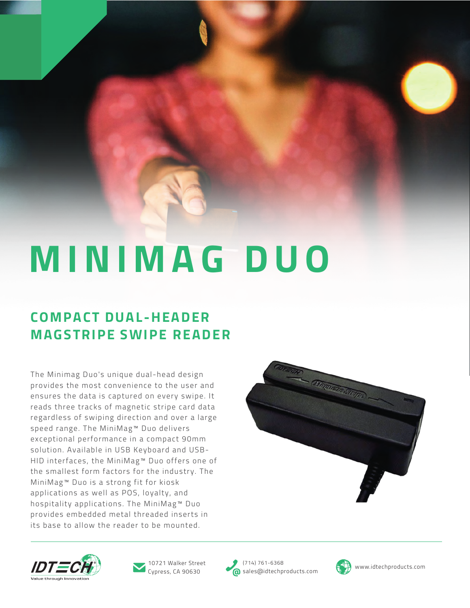# **MINIMAG DUO**

### **COMPACT DUAL-HEADER MAGSTRIPE SWIPE READER**

The Minimag Duo's unique dual-head design provides the most convenience to the user and ensures the data is captured on every swipe. It reads three tracks of magnetic stripe card data regardless of swiping direction and over a large speed range. The MiniMag™ Duo delivers exceptional performance in a compact 90mm solution. Available in USB Keyboard and USB-HID interfaces, the MiniMag™ Duo offers one of the smallest form factors for the industry. The MiniMag™ Duo is a strong fit for kiosk applications as well as POS, loyalty, and hospitality applications. The MiniMag™ Duo provides embedded metal threaded inserts in its base to allow the reader to be mounted.







Cypress, CA 90630

(714) 761-6368 10721 Walker Street (714) 761-6368<br>Cypress, CA 90630 ales@idtechproducts.com (1) www.idtechproducts.com